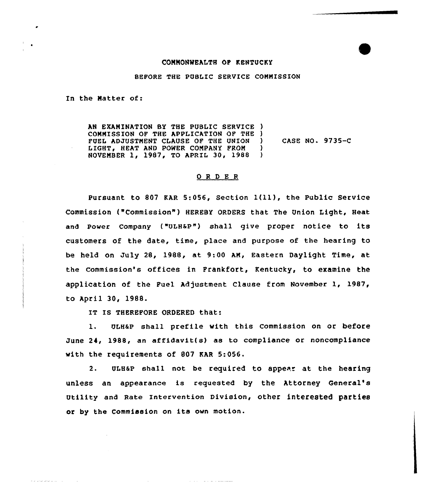## COMMONWEALTH OF KENTUCKY

## BEFORE THE PUBLIC SERVICE COMMISSION

In the Matter of:

المراد المراكب فتحرك فالانتقاد

AN EXAMINATION BY THE PUBLIC SERVICE ) COMMISSION OF THE APPLICATION OF THE )<br>FIEL ADJUSTMENT CLAUSE OF THE UNION FUEL ADJUSTMENT CLAUSE OF THE UNION LIGHT, HEAT AND POWER COMPANY FROM )<br>NOVEMBER 1, 1987, TO APRIL 30, 1988 ) NOVEMBER 1, 1987, TO APRIL 30, 1988 ) CASE NO. 9735-C

## ORDER

pursuant to <sup>807</sup> KAR 5:056, section l(ll), the public service Commission ("Commission" ) HEREBY ORDERS that The Union Light, Heat and power company ("ULHap") shell give proper notice to its customers of the date, time, place and purpose of the hearing to be held on July 28, 1988, at 9:00 AM, Eastern Daylight Time, at the commission's offices in Frankfort, Kentucky, to examine the application of the Fuel Adjustment Clause from November 1, 1987, to April 30, 1988.

IT Is THEREFoRE 0RDERED that:

l. ULHap shall prefile with this Commission on or before June 24, 1988, an affidavit(s) as to compliance or noncompliance with the requirements of 807 KAR 5:056.

2. ULHaP shall not be required to appear at the hearing unless an appearance is requested by the Attorney General' Utility and Rate Intervention Division, other interested parties or by the Commission on its own motion.

and a strong control and complete